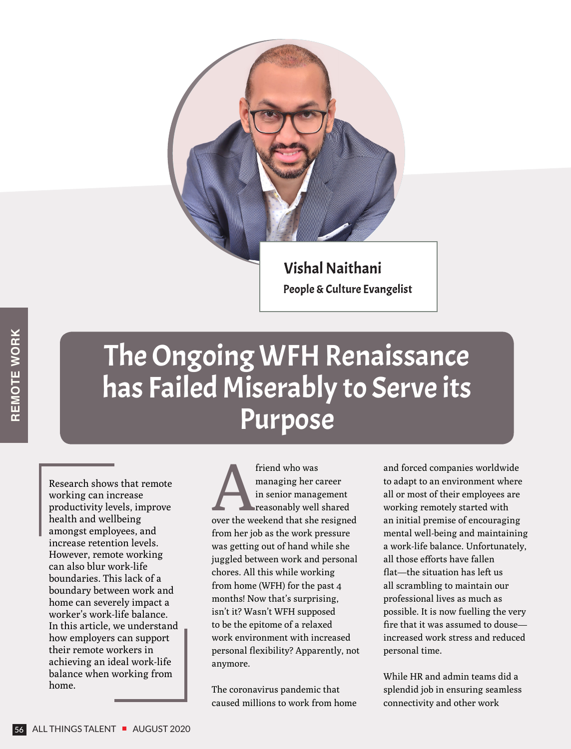

## The Ongoing WFH Renaissance has Failed Miserably to Serve its Purpose

Research shows that remote working can increase productivity levels, improve health and wellbeing amongst employees, and increase retention levels. However, remote working can also blur work-life boundaries. This lack of a boundary between work and home can severely impact a worker's work-life balance. In this article, we understand how employers can support their remote workers in achieving an ideal work-life balance when working from home.

friend who was<br>
managing her career<br>
in senior management<br>
reasonably well shared<br>
over the weekend that she resigned managing her career in senior management reasonably well shared from her job as the work pressure was getting out of hand while she juggled between work and personal chores. All this while working from home (WFH) for the past 4 months! Now that's surprising, isn't it? Wasn't WFH supposed to be the epitome of a relaxed work environment with increased personal flexibility? Apparently, not anymore.

The coronavirus pandemic that caused millions to work from home and forced companies worldwide to adapt to an environment where all or most of their employees are working remotely started with an initial premise of encouraging mental well-being and maintaining a work-life balance. Unfortunately, all those efforts have fallen flat—the situation has left us all scrambling to maintain our professional lives as much as possible. It is now fuelling the very fire that it was assumed to douse increased work stress and reduced personal time.

While HR and admin teams did a splendid job in ensuring seamless connectivity and other work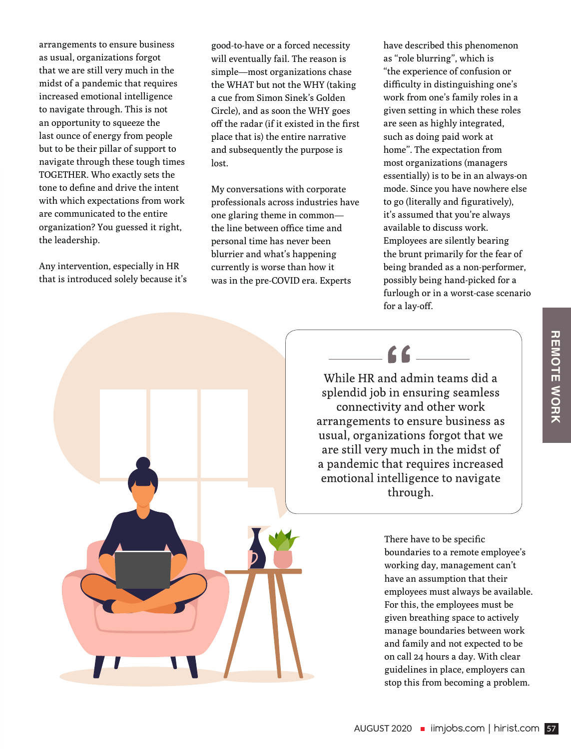arrangements to ensure business as usual, organizations forgot that we are still very much in the midst of a pandemic that requires increased emotional intelligence to navigate through. This is not an opportunity to squeeze the last ounce of energy from people but to be their pillar of support to navigate through these tough times TOGETHER. Who exactly sets the tone to define and drive the intent with which expectations from work are communicated to the entire organization? You guessed it right, the leadership.

Any intervention, especially in HR that is introduced solely because it's

good-to-have or a forced necessity will eventually fail. The reason is simple—most organizations chase the WHAT but not the WHY (taking a cue from Simon Sinek's Golden Circle), and as soon the WHY goes off the radar (if it existed in the first place that is) the entire narrative and subsequently the purpose is lost.

My conversations with corporate professionals across industries have one glaring theme in common the line between office time and personal time has never been blurrier and what's happening currently is worse than how it was in the pre-COVID era. Experts

have described this phenomenon as "role blurring", which is "the experience of confusion or difficulty in distinguishing one's work from one's family roles in a given setting in which these roles are seen as highly integrated, such as doing paid work at home". The expectation from most organizations (managers essentially) is to be in an always-on mode. Since you have nowhere else to go (literally and figuratively), it's assumed that you're always available to discuss work. Employees are silently bearing the brunt primarily for the fear of being branded as a non-performer, possibly being hand-picked for a furlough or in a worst-case scenario for a lay-off.

## $66$

While HR and admin teams did a splendid job in ensuring seamless connectivity and other work arrangements to ensure business as usual, organizations forgot that we are still very much in the midst of a pandemic that requires increased emotional intelligence to navigate through.

> There have to be specific boundaries to a remote employee's working day, management can't have an assumption that their employees must always be available. For this, the employees must be given breathing space to actively manage boundaries between work and family and not expected to be on call 24 hours a day. With clear guidelines in place, employers can stop this from becoming a problem.